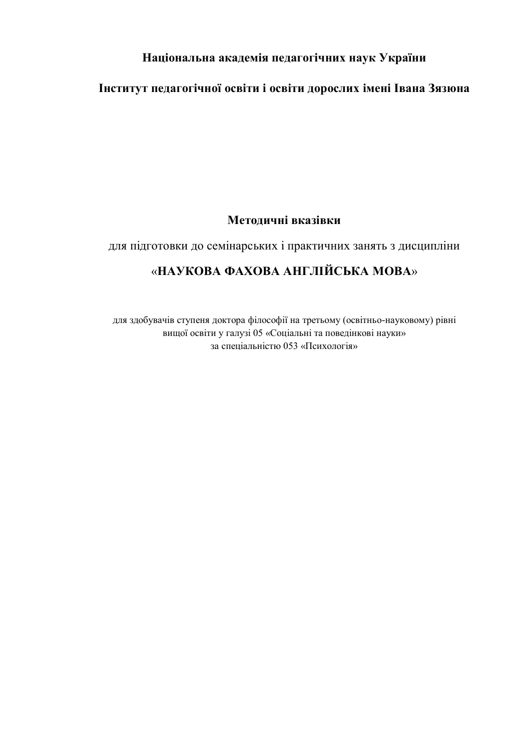# **Національна академія педагогічних наук України**

# **Інститут педагогічної освіти і освіти дорослих імені Івана Зязюна**

### **Методичні вказівки**

### для підготовки до семінарських і практичних занять з дисципліни

# «**НАУКОВА ФАХОВА АНГЛІЙСЬКА МОВА**»

для здобувачів ступеня доктора філософії на третьому (освітньо-науковому) рівні вищої освіти у галузі 05 «Соціальні та поведінкові науки» за спеціальністю 053 «Психологія»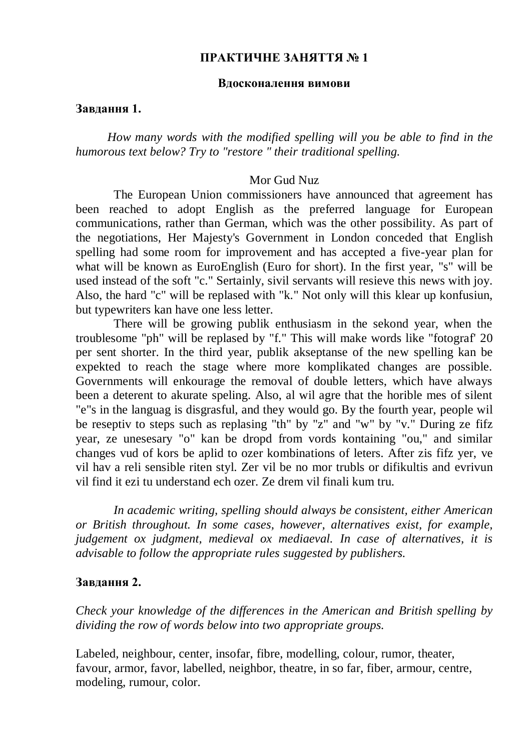### **ПРАКТИЧНЕ ЗАНЯТТЯ № 1**

#### **Вдосконалення вимови**

#### **Завдання 1.**

*How many words with the modified spelling will you be able to find in the humorous text below? Try to "restore " their traditional spelling.*

#### Mor Gud Nuz

The European Union commissioners have announced that agreement has been reached to adopt English as the preferred language for European communications, rather than German, which was the other possibility. As part of the negotiations, Her Majesty's Government in London conceded that English spelling had some room for improvement and has accepted a five-year plan for what will be known as EuroEnglish (Euro for short). In the first year, "s" will be used instead of the soft "c." Sertainly, sivil servants will resieve this news with joy. Also, the hard "c" will be replased with "k." Not only will this klear up konfusiun, but typewriters kan have one less letter.

There will be growing publik enthusiasm in the sekond year, when the troublesome "ph" will be replased by "f." This will make words like "fotograf' 20 per sent shorter. In the third year, publik akseptanse of the new spelling kan be expekted to reach the stage where more komplikated changes are possible. Governments will enkourage the removal of double letters, which have always been a deterent to akurate speling. Also, al wil agre that the horible mes of silent "e"s in the languag is disgrasful, and they would go. By the fourth year, people wil be reseptiv to steps such as replasing "th" by "z" and "w" by "v." During ze fifz year, ze unesesary "o" kan be dropd from vords kontaining "ou," and similar changes vud of kors be aplid to ozer kombinations of leters. After zis fifz yer, ve vil hav a reli sensible riten styl. Zer vil be no mor trubls or difikultis and evrivun vil find it ezi tu understand ech ozer. Ze drem vil finali kum tru.

*In academic writing, spelling should always be consistent, either American or British throughout. In some cases, however, alternatives exist, for example, judgement ox judgment, medieval ox mediaeval. In case of alternatives, it is advisable to follow the appropriate rules suggested by publishers.*

### **Завдання 2.**

*Check your knowledge of the differences in the American and British spelling by dividing the row of words below into two appropriate groups.*

Labeled, neighbour, center, insofar, fibre, modelling, colour, rumor, theater, favour, armor, favor, labelled, neighbor, theatre, in so far, fiber, armour, centre, modeling, rumour, color.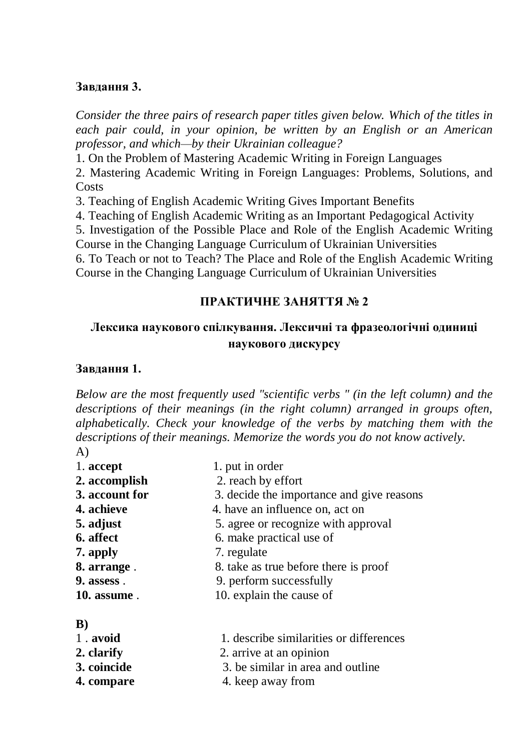### **Завдання 3.**

*Consider the three pairs of research paper titles given below. Which of the titles in each pair could, in your opinion, be written by an English or an American professor, and which—by their Ukrainian colleague?*

1. On the Problem of Mastering Academic Writing in Foreign Languages

2. Mastering Academic Writing in Foreign Languages: Problems, Solutions, and Costs

3. Teaching of English Academic Writing Gives Important Benefits

4. Teaching of English Academic Writing as an Important Pedagogical Activity

5. Investigation of the Possible Place and Role of the English Academic Writing

Course in the Changing Language Curriculum of Ukrainian Universities

6. To Teach or not to Teach? The Place and Role of the English Academic Writing Course in the Changing Language Curriculum of Ukrainian Universities

### **ПРАКТИЧНЕ ЗАНЯТТЯ № 2**

# **Лексика наукового спілкування. Лексичні та фразеологічні одиниці наукового дискурсу**

### **Завдання 1.**

*Below are the most frequently used "scientific verbs " (in the left column) and the descriptions of their meanings (in the right column) arranged in groups often, alphabetically. Check your knowledge of the verbs by matching them with the descriptions of their meanings. Memorize the words you do not know actively.* A)

- 1. **accept** 1. put in order **2. accomplish** 2. reach by effort **3. account for** 3. decide the importance and give reasons **4. achieve 4. have an influence on, act on 5. adjust** 5. agree or recognize with approval **6. affect** 6. make practical use of **7. apply** 7. regulate **8. arrange** . 8. take as true before there is proof **9. assess** . 9. perform successfully **10. assume** . 10. explain the cause of
- **B)**

| 1. avoid   | 1. describe similarities or differences |
|------------|-----------------------------------------|
| 2. clarify | 2. arrive at an opinion                 |

- 
- **3. coincide** 3. be similar in area and outline
- **4. compare 4. keep away from**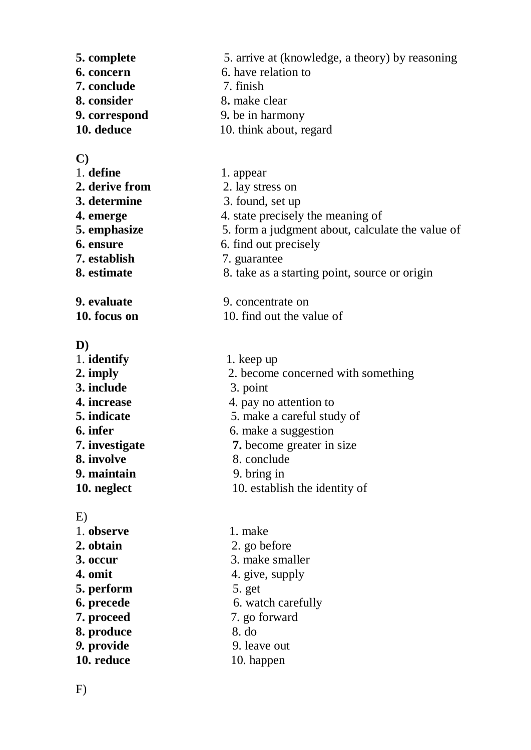**5. complete** 5. arrive at (knowledge, a theory) by reasoning **6. concern** 6. have relation to **7. conclude 8. consider 8. consider** 8. make clear<br> **9. correspond** 9. be in harmo **9. correspond** 9. be in harmony **10. deduce 10. think about, regard** 

### **C)**

| ぃ              |                                                  |
|----------------|--------------------------------------------------|
| 1. define      | 1. appear                                        |
| 2. derive from | 2. lay stress on                                 |
| 3. determine   | 3. found, set up                                 |
| 4. emerge      | 4. state precisely the meaning of                |
| 5. emphasize   | 5. form a judgment about, calculate the value of |
| 6. ensure      | 6. find out precisely                            |
| 7. establish   | 7. guarantee                                     |
| 8. estimate    | 8. take as a starting point, source or origin    |
| 9. evaluate    | 9. concentrate on                                |

**6.** have relation to <br>7. finish

**10. focus on** 10. find out the value of

### **D)**

| 1. identify    | 1. keep up                         |  |
|----------------|------------------------------------|--|
| 2. imply       | 2. become concerned with something |  |
| 3. include     | 3. point                           |  |
| 4. increase    | 4. pay no attention to             |  |
| 5. indicate    | 5. make a careful study of         |  |
| 6. infer       | 6. make a suggestion               |  |
| 7. investigate | 7. become greater in size          |  |
| 8. involve     | 8. conclude                        |  |
| 9. maintain    | 9. bring in                        |  |
| 10. neglect    | 10. establish the identity of      |  |
|                |                                    |  |

### E)

| . .        |                    |
|------------|--------------------|
| 1. observe | 1. make            |
| 2. obtain  | 2. go before       |
| 3. occur   | 3. make smaller    |
| 4. omit    | 4. give, supply    |
| 5. perform | 5. get             |
| 6. precede | 6. watch carefully |
| 7. proceed | 7. go forward      |
| 8. produce | 8. do              |
| 9. provide | 9. leave out       |
| 10. reduce | 10. happen         |
|            |                    |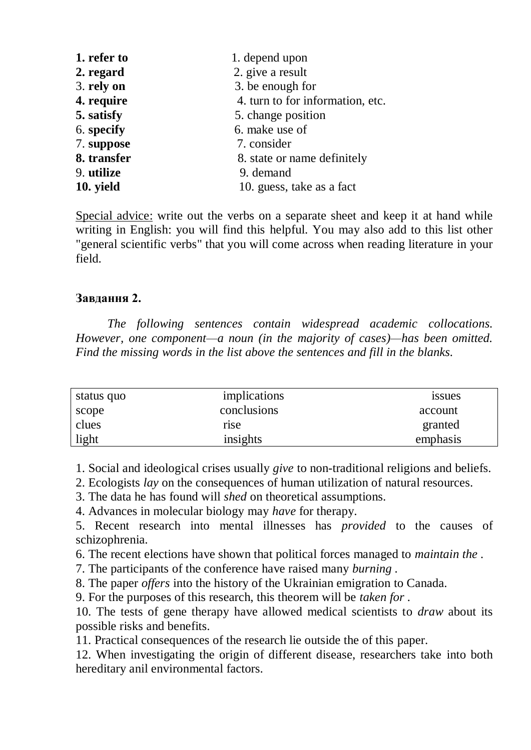| 1. refer to | 1. depend upon                   |
|-------------|----------------------------------|
| 2. regard   | 2. give a result                 |
| 3. rely on  | 3. be enough for                 |
| 4. require  | 4. turn to for information, etc. |
| 5. satisfy  | 5. change position               |
| 6. specify  | 6. make use of                   |
| 7. suppose  | 7. consider                      |
| 8. transfer | 8. state or name definitely      |
| 9. utilize  | 9. demand                        |
| 10. yield   | 10. guess, take as a fact        |

Special advice: write out the verbs on a separate sheet and keep it at hand while writing in English: you will find this helpful. You may also add to this list other "general scientific verbs" that you will come across when reading literature in your field.

## **Завдання 2.**

*The following sentences contain widespread academic collocations. However, one component—a noun (in the majority of cases)—has been omitted. Find the missing words in the list above the sentences and fill in the blanks.*

| status quo | implications | <i>ssues</i> |
|------------|--------------|--------------|
| scope      | conclusions  | account      |
| clues      | rise         | granted      |
| light      | insights     | emphasis     |

1. Social and ideological crises usually *give* to non-traditional religions and beliefs.

2. Ecologists *lay* on the consequences of human utilization of natural resources.

3. The data he has found will *shed* on theoretical assumptions.

4. Advances in molecular biology may *have* for therapy.

5. Recent research into mental illnesses has *provided* to the causes of schizophrenia.

6. The recent elections have shown that political forces managed to *maintain the .*

7. The participants of the conference have raised many *burning .*

8. The paper *offers* into the history of the Ukrainian emigration to Canada.

9. For the purposes of this research, this theorem will be *taken for .*

10. The tests of gene therapy have allowed medical scientists to *draw* about its possible risks and benefits.

11. Practical consequences of the research lie outside the of this paper.

12. When investigating the origin of different disease, researchers take into both hereditary anil environmental factors.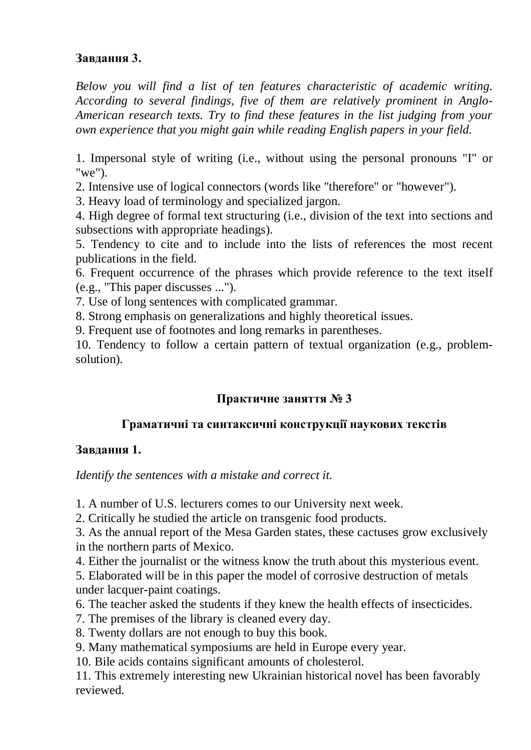# **Завдання 3.**

*Below you will find a list of ten features characteristic of academic writing. According to several findings, five of them are relatively prominent in Anglo-American research texts. Try to find these features in the list judging from your own experience that you might gain while reading English papers in your field.*

1. Impersonal style of writing (i.e., without using the personal pronouns "I" or "we").

2. Intensive use of logical connectors (words like "therefore" or "however").

3. Heavy load of terminology and specialized jargon.

4. High degree of formal text structuring (i.e., division of the text into sections and subsections with appropriate headings).

5. Tendency to cite and to include into the lists of references the most recent publications in the field.

6. Frequent occurrence of the phrases which provide reference to the text itself (e.g., "This paper discusses ...").

7. Use of long sentences with complicated grammar.

8. Strong emphasis on generalizations and highly theoretical issues.

9. Frequent use of footnotes and long remarks in parentheses.

10. Tendency to follow a certain pattern of textual organization (e.g., problemsolution).

# **Практичне заняття № 3**

# **Граматичні та синтаксичні конструкції наукових текстів**

# **Завдання 1.**

*Identify the sentences with a mistake and correct it.*

1. A number of U.S. lecturers comes to our University next week.

2. Critically he studied the article on transgenic food products.

3. As the annual report of the Mesa Garden states, these cactuses grow exclusively in the northern parts of Mexico.

4. Either the journalist or the witness know the truth about this mysterious event.

5. Elaborated will be in this paper the model of corrosive destruction of metals under lacquer-paint coatings.

- 6. The teacher asked the students if they knew the health effects of insecticides.
- 7. The premises of the library is cleaned every day.
- 8. Twenty dollars are not enough to buy this book.
- 9. Many mathematical symposiums are held in Europe every year.

10. Bile acids contains significant amounts of cholesterol.

11. This extremely interesting new Ukrainian historical novel has been favorably reviewed.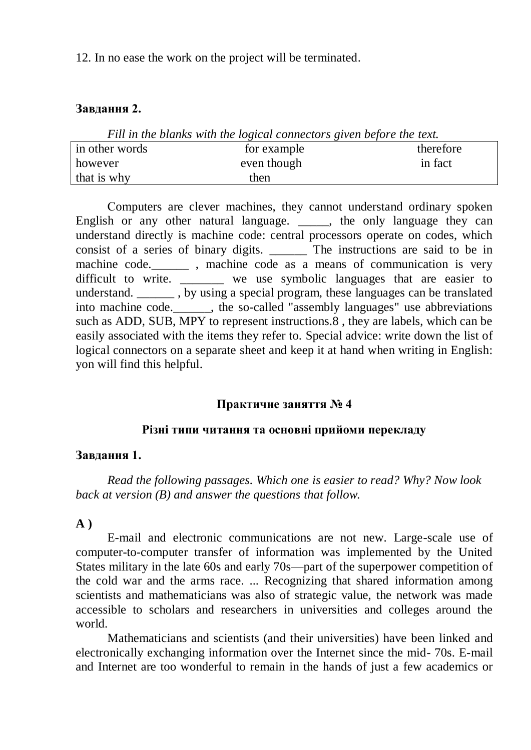12. In no ease the work on the project will be terminated.

## **Завдання 2.**

| Fill in the blanks with the logical connectors given before the text. |             |           |
|-----------------------------------------------------------------------|-------------|-----------|
| in other words                                                        | for example | therefore |
| however                                                               | even though | in fact   |
| that is why                                                           | then        |           |

Сomputers are clever machines, they cannot understand ordinary spoken English or any other natural language. \_\_\_\_\_, the only language they can understand directly is machine code: central processors operate on codes, which

consist of a series of binary digits. \_\_\_\_\_\_ The instructions are said to be in machine code.\_\_\_\_\_\_ , machine code as a means of communication is very difficult to write. \_\_\_\_\_\_\_ we use symbolic languages that are easier to understand. \_\_\_\_\_\_ , by using a special program, these languages can be translated into machine code.  $\qquad \qquad$ , the so-called "assembly languages" use abbreviations such as ADD, SUB, MPY to represent instructions.8 , they are labels, which can be easily associated with the items they refer to. Special advice: write down the list of logical connectors on a separate sheet and keep it at hand when writing in English: yon will find this helpful.

# **Практичне заняття № 4**

## **Різні типи читання та основні прийоми перекладу**

## **Завдання 1.**

*Read the following passages. Which one is easier to read? Why? Now look back at version (B) and answer the questions that follow.*

# **A )**

E-mail and electronic communications are not new. Large-scale use of computer-to-computer transfer of information was implemented by the United States military in the late 60s and early 70s—part of the superpower competition of the cold war and the arms race. ... Recognizing that shared information among scientists and mathematicians was also of strategic value, the network was made accessible to scholars and researchers in universities and colleges around the world.

Mathematicians and scientists (and their universities) have been linked and electronically exchanging information over the Internet since the mid- 70s. E-mail and Internet are too wonderful to remain in the hands of just a few academics or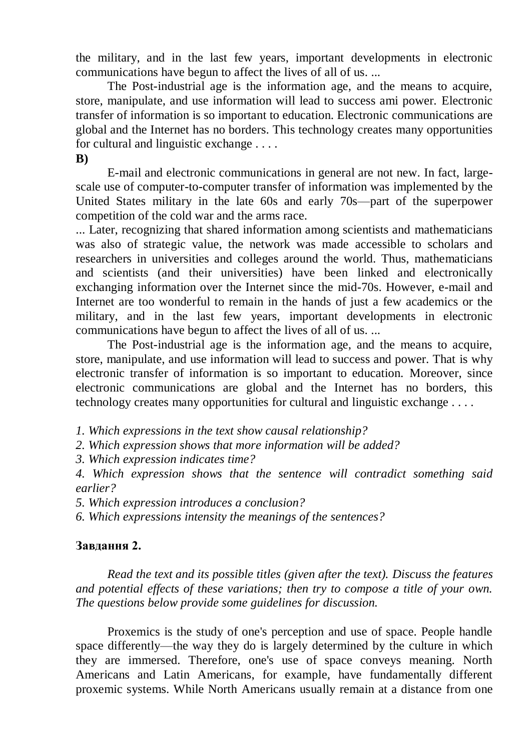the military, and in the last few years, important developments in electronic communications have begun to affect the lives of all of us. ...

The Post-industrial age is the information age, and the means to acquire, store, manipulate, and use information will lead to success ami power. Electronic transfer of information is so important to education. Electronic communications are global and the Internet has no borders. This technology creates many opportunities for cultural and linguistic exchange . . . .

**B)**

E-mail and electronic communications in general are not new. In fact, largescale use of computer-to-computer transfer of information was implemented by the United States military in the late 60s and early 70s—part of the superpower competition of the cold war and the arms race.

... Later, recognizing that shared information among scientists and mathematicians was also of strategic value, the network was made accessible to scholars and researchers in universities and colleges around the world. Thus, mathematicians and scientists (and their universities) have been linked and electronically exchanging information over the Internet since the mid-70s. However, e-mail and Internet are too wonderful to remain in the hands of just a few academics or the military, and in the last few years, important developments in electronic communications have begun to affect the lives of all of us. ...

The Post-industrial age is the information age, and the means to acquire, store, manipulate, and use information will lead to success and power. That is why electronic transfer of information is so important to education. Moreover, since electronic communications are global and the Internet has no borders, this technology creates many opportunities for cultural and linguistic exchange . . . .

*1. Which expressions in the text show causal relationship?*

*2. Which expression shows that more information will be added?*

*3. Which expression indicates time?*

*4. Which expression shows that the sentence will contradict something said earlier?*

*5. Which expression introduces a conclusion?*

*6. Which expressions intensity the meanings of the sentences?*

## **Завдання 2.**

*Read the text and its possible titles (given after the text). Discuss the features and potential effects of these variations; then try to compose a title of your own. The questions below provide some guidelines for discussion.*

Proxemics is the study of one's perception and use of space. People handle space differently—the way they do is largely determined by the culture in which they are immersed. Therefore, one's use of space conveys meaning. North Americans and Latin Americans, for example, have fundamentally different proxemic systems. While North Americans usually remain at a distance from one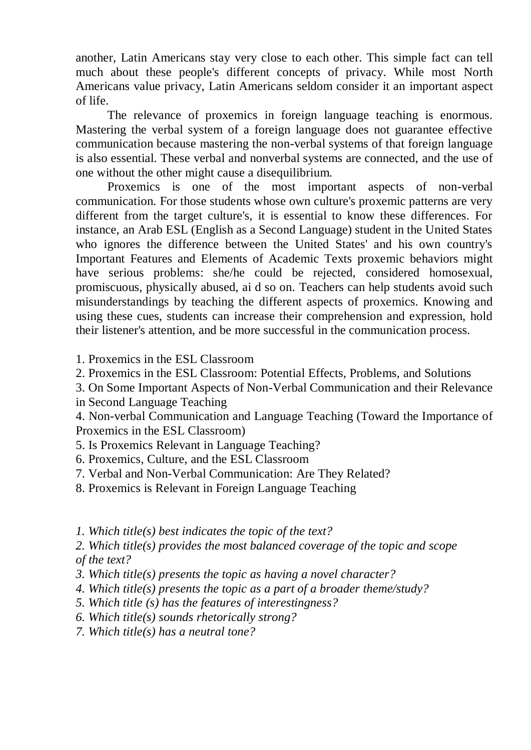another, Latin Americans stay very close to each other. This simple fact can tell much about these people's different concepts of privacy. While most North Americans value privacy, Latin Americans seldom consider it an important aspect of life.

The relevance of proxemics in foreign language teaching is enormous. Mastering the verbal system of a foreign language does not guarantee effective communication because mastering the non-verbal systems of that foreign language is also essential. These verbal and nonverbal systems are connected, and the use of one without the other might cause a disequilibrium.

Proxemics is one of the most important aspects of non-verbal communication. For those students whose own culture's proxemic patterns are very different from the target culture's, it is essential to know these differences. For instance, an Arab ESL (English as a Second Language) student in the United States who ignores the difference between the United States' and his own country's Important Features and Elements of Academic Texts proxemic behaviors might have serious problems: she/he could be rejected, considered homosexual, promiscuous, physically abused, ai d so on. Teachers can help students avoid such misunderstandings by teaching the different aspects of proxemics. Knowing and using these cues, students can increase their comprehension and expression, hold their listener's attention, and be more successful in the communication process.

1. Proxemics in the ESL Classroom

2. Proxemics in the ESL Classroom: Potential Effects, Problems, and Solutions

3. On Some Important Aspects of Non-Verbal Communication and their Relevance in Second Language Teaching

4. Non-verbal Communication and Language Teaching (Toward the Importance of Proxemics in the ESL Classroom)

5. Is Proxemics Relevant in Language Teaching?

6. Proxemics, Culture, and the ESL Classroom

7. Verbal and Non-Verbal Communication: Are They Related?

8. Proxemics is Relevant in Foreign Language Teaching

*1. Which title(s) best indicates the topic of the text?*

*2. Which title(s) provides the most balanced coverage of the topic and scope of the text?*

*3. Which title(s) presents the topic as having a novel character?*

*4. Which title(s) presents the topic as a part of a broader theme/study?*

*5. Which title (s) has the features of interestingness?*

*6. Which title(s) sounds rhetorically strong?*

*7. Which title(s) has a neutral tone?*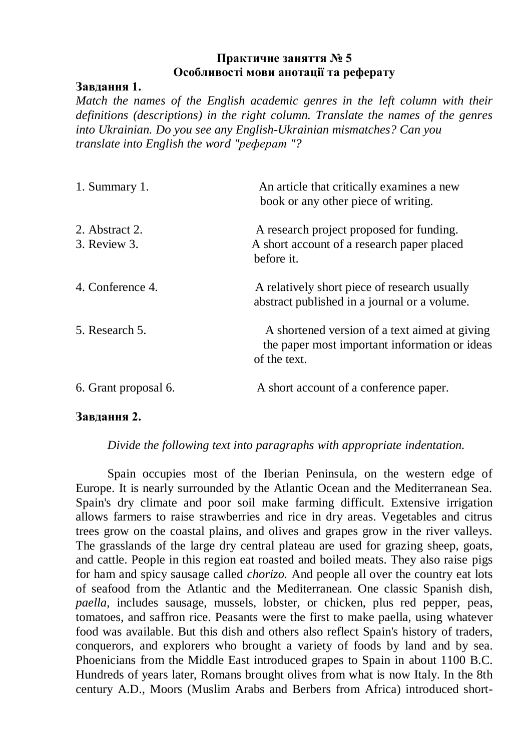## **Практичне заняття № 5 Особливості мови анотації та реферату**

### **Завдання 1.**

*Match the names of the English academic genres in the left column with their definitions (descriptions) in the right column. Translate the names of the genres into Ukrainian. Do you see any English-Ukrainian mismatches? Can you translate into English the word "реферат "?*

| 1. Summary 1.                  | An article that critically examines a new<br>book or any other piece of writing.                               |
|--------------------------------|----------------------------------------------------------------------------------------------------------------|
| 2. Abstract 2.<br>3. Review 3. | A research project proposed for funding.<br>A short account of a research paper placed<br>before it.           |
| 4. Conference 4.               | A relatively short piece of research usually<br>abstract published in a journal or a volume.                   |
| 5. Research 5.                 | A shortened version of a text aimed at giving<br>the paper most important information or ideas<br>of the text. |
| 6. Grant proposal 6.           | A short account of a conference paper.                                                                         |

#### **Завдання 2.**

### *Divide the following text into paragraphs with appropriate indentation.*

Spain occupies most of the Iberian Peninsula, on the western edge of Europe. It is nearly surrounded by the Atlantic Ocean and the Mediterranean Sea. Spain's dry climate and poor soil make farming difficult. Extensive irrigation allows farmers to raise strawberries and rice in dry areas. Vegetables and citrus trees grow on the coastal plains, and olives and grapes grow in the river valleys. The grasslands of the large dry central plateau are used for grazing sheep, goats, and cattle. People in this region eat roasted and boiled meats. They also raise pigs for ham and spicy sausage called *chorizo.* And people all over the country eat lots of seafood from the Atlantic and the Mediterranean. One classic Spanish dish, *paella*, includes sausage, mussels, lobster, or chicken, plus red pepper, peas, tomatoes, and saffron rice. Peasants were the first to make paella, using whatever food was available. But this dish and others also reflect Spain's history of traders, conquerors, and explorers who brought a variety of foods by land and by sea. Phoenicians from the Middle East introduced grapes to Spain in about 1100 B.C. Hundreds of years later, Romans brought olives from what is now Italy. In the 8th century A.D., Moors (Muslim Arabs and Berbers from Africa) introduced short-